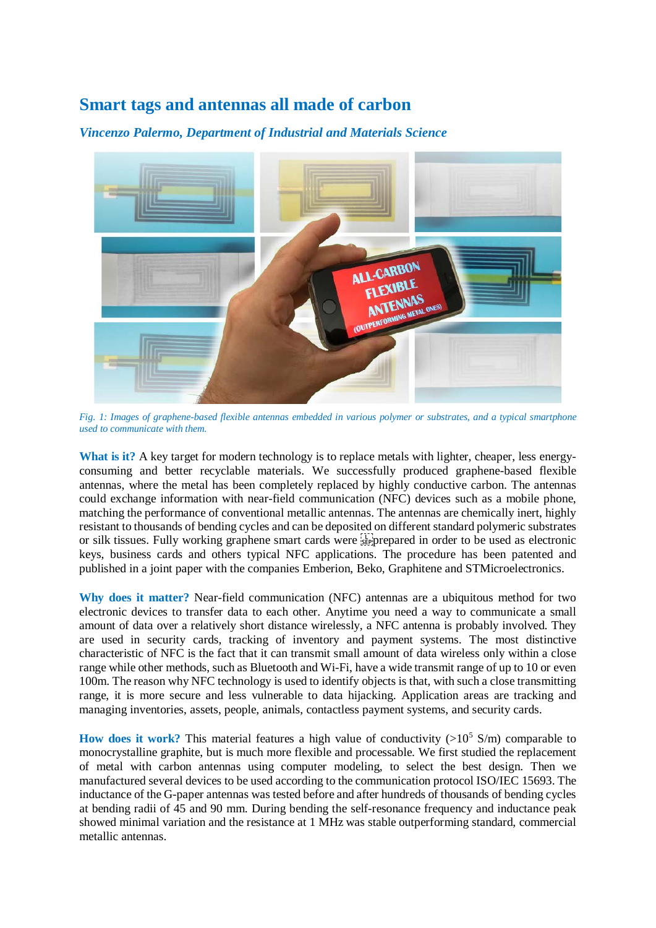## **Smart tags and antennas all made of carbon**



*Vincenzo Palermo, Department of Industrial and Materials Science*

*Fig. 1: Images of graphene-based flexible antennas embedded in various polymer or substrates, and a typical smartphone used to communicate with them.*

**What is it?** A key target for modern technology is to replace metals with lighter, cheaper, less energyconsuming and better recyclable materials. We successfully produced graphene-based flexible antennas, where the metal has been completely replaced by highly conductive carbon. The antennas could exchange information with near-field communication (NFC) devices such as a mobile phone, matching the performance of conventional metallic antennas. The antennas are chemically inert, highly resistant to thousands of bending cycles and can be deposited on different standard polymeric substrates or silk tissues. Fully working graphene smart cards were  $\sum_{i=1}^{n}$  prepared in order to be used as electronic keys, business cards and others typical NFC applications. The procedure has been patented and published in a joint paper with the companies Emberion, Beko, Graphitene and STMicroelectronics.

**Why does it matter?** Near-field communication (NFC) antennas are a ubiquitous method for two electronic devices to transfer data to each other. Anytime you need a way to communicate a small amount of data over a relatively short distance wirelessly, a NFC antenna is probably involved. They are used in security cards, tracking of inventory and payment systems. The most distinctive characteristic of NFC is the fact that it can transmit small amount of data wireless only within a close range while other methods, such as Bluetooth and Wi-Fi, have a wide transmit range of up to 10 or even 100m. The reason why NFC technology is used to identify objects is that, with such a close transmitting range, it is more secure and less vulnerable to data hijacking. Application areas are tracking and managing inventories, assets, people, animals, contactless payment systems, and security cards.

**How does it work?** This material features a high value of conductivity  $(>10^5 S/m)$  comparable to monocrystalline graphite, but is much more flexible and processable. We first studied the replacement of metal with carbon antennas using computer modeling, to select the best design. Then we manufactured several devices to be used according to the communication protocol ISO/IEC 15693. The inductance of the G-paper antennas was tested before and after hundreds of thousands of bending cycles at bending radii of 45 and 90 mm. During bending the self-resonance frequency and inductance peak showed minimal variation and the resistance at 1 MHz was stable outperforming standard, commercial metallic antennas.